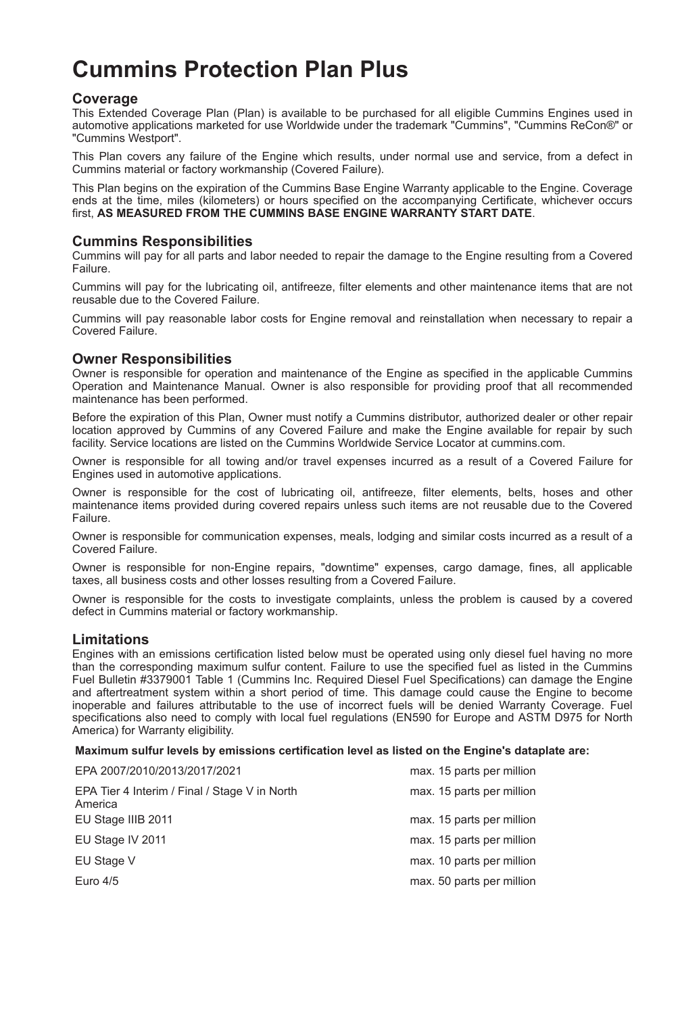# **Cummins Protection Plan Plus**

## **Coverage**

This Extended Coverage Plan (Plan) is available to be purchased for all eligible Cummins Engines used in automotive applications marketed for use Worldwide under the trademark "Cummins", "Cummins ReCon®" or "Cummins Westport".

This Plan covers any failure of the Engine which results, under normal use and service, from a defect in Cummins material or factory workmanship (Covered Failure).

This Plan begins on the expiration of the Cummins Base Engine Warranty applicable to the Engine. Coverage ends at the time, miles (kilometers) or hours specified on the accompanying Certificate, whichever occurs first, **AS MEASURED FROM THE CUMMINS BASE ENGINE WARRANTY START DATE**.

## **Cummins Responsibilities**

Cummins will pay for all parts and labor needed to repair the damage to the Engine resulting from a Covered Failure.

Cummins will pay for the lubricating oil, antifreeze, filter elements and other maintenance items that are not reusable due to the Covered Failure.

Cummins will pay reasonable labor costs for Engine removal and reinstallation when necessary to repair a Covered Failure.

## **Owner Responsibilities**

Owner is responsible for operation and maintenance of the Engine as specified in the applicable Cummins Operation and Maintenance Manual. Owner is also responsible for providing proof that all recommended maintenance has been performed.

Before the expiration of this Plan, Owner must notify a Cummins distributor, authorized dealer or other repair location approved by Cummins of any Covered Failure and make the Engine available for repair by such facility. Service locations are listed on the Cummins Worldwide Service Locator at cummins.com.

Owner is responsible for all towing and/or travel expenses incurred as a result of a Covered Failure for Engines used in automotive applications.

Owner is responsible for the cost of lubricating oil, antifreeze, filter elements, belts, hoses and other maintenance items provided during covered repairs unless such items are not reusable due to the Covered Failure.

Owner is responsible for communication expenses, meals, lodging and similar costs incurred as a result of a Covered Failure.

Owner is responsible for non-Engine repairs, "downtime" expenses, cargo damage, fines, all applicable taxes, all business costs and other losses resulting from a Covered Failure.

Owner is responsible for the costs to investigate complaints, unless the problem is caused by a covered defect in Cummins material or factory workmanship.

## **Limitations**

Engines with an emissions certification listed below must be operated using only diesel fuel having no more than the corresponding maximum sulfur content. Failure to use the specified fuel as listed in the Cummins Fuel Bulletin #3379001 Table 1 (Cummins Inc. Required Diesel Fuel Specifications) can damage the Engine and aftertreatment system within a short period of time. This damage could cause the Engine to become inoperable and failures attributable to the use of incorrect fuels will be denied Warranty Coverage. Fuel specifications also need to comply with local fuel regulations (EN590 for Europe and ASTM D975 for North America) for Warranty eligibility.

#### **Maximum sulfur levels by emissions certification level as listed on the Engine's dataplate are:**

| EPA 2007/2010/2013/2017/2021                             | max. 15 parts per million |
|----------------------------------------------------------|---------------------------|
| EPA Tier 4 Interim / Final / Stage V in North<br>America | max. 15 parts per million |
| EU Stage IIIB 2011                                       | max. 15 parts per million |
| EU Stage IV 2011                                         | max. 15 parts per million |
| EU Stage V                                               | max. 10 parts per million |
| Euro 4/5                                                 | max. 50 parts per million |
|                                                          |                           |